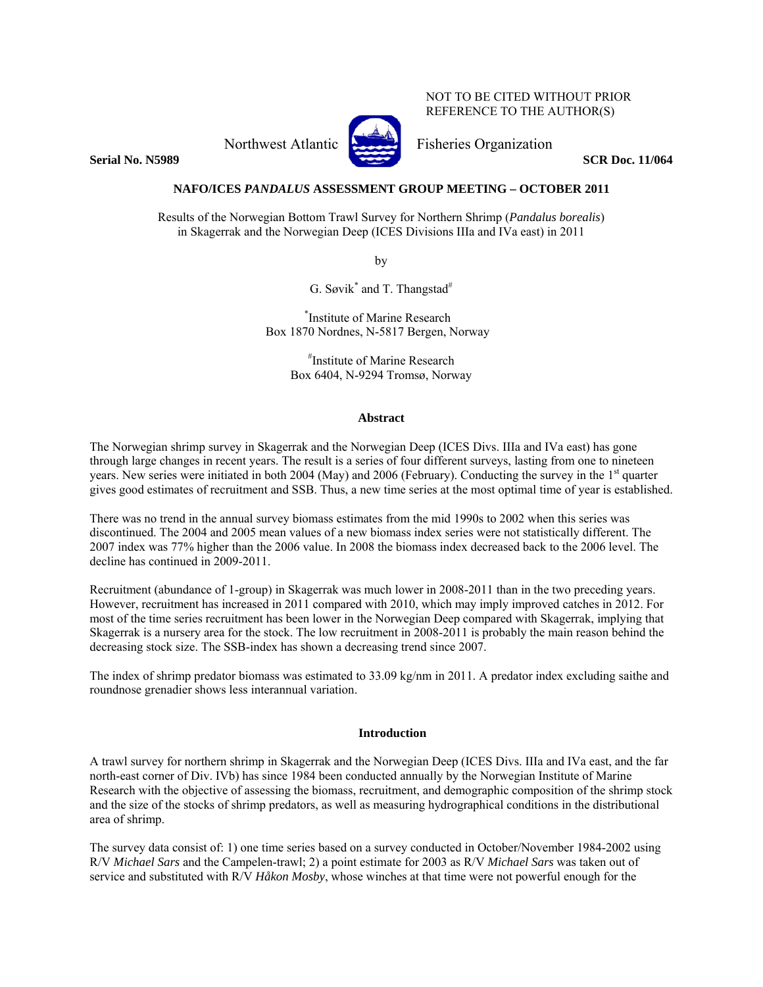NOT TO BE CITED WITHOUT PRIOR REFERENCE TO THE AUTHOR(S)

**Serial No. N5989** SCR Doc. 11/064

# Northwest Atlantic Fisheries Organization

# **NAFO/ICES** *PANDALUS* **ASSESSMENT GROUP MEETING – OCTOBER 2011**

Results of the Norwegian Bottom Trawl Survey for Northern Shrimp (*Pandalus borealis*) in Skagerrak and the Norwegian Deep (ICES Divisions IIIa and IVa east) in 2011

by

G. Søvik<sup>\*</sup> and T. Thangstad<sup>#</sup>

\* Institute of Marine Research Box 1870 Nordnes, N-5817 Bergen, Norway

> # Institute of Marine Research Box 6404, N-9294 Tromsø, Norway

## **Abstract**

The Norwegian shrimp survey in Skagerrak and the Norwegian Deep (ICES Divs. IIIa and IVa east) has gone through large changes in recent years. The result is a series of four different surveys, lasting from one to nineteen years. New series were initiated in both 2004 (May) and 2006 (February). Conducting the survey in the 1<sup>st</sup> quarter gives good estimates of recruitment and SSB. Thus, a new time series at the most optimal time of year is established.

There was no trend in the annual survey biomass estimates from the mid 1990s to 2002 when this series was discontinued. The 2004 and 2005 mean values of a new biomass index series were not statistically different. The 2007 index was 77% higher than the 2006 value. In 2008 the biomass index decreased back to the 2006 level. The decline has continued in 2009-2011.

Recruitment (abundance of 1-group) in Skagerrak was much lower in 2008-2011 than in the two preceding years. However, recruitment has increased in 2011 compared with 2010, which may imply improved catches in 2012. For most of the time series recruitment has been lower in the Norwegian Deep compared with Skagerrak, implying that Skagerrak is a nursery area for the stock. The low recruitment in 2008-2011 is probably the main reason behind the decreasing stock size. The SSB-index has shown a decreasing trend since 2007.

The index of shrimp predator biomass was estimated to 33.09 kg/nm in 2011. A predator index excluding saithe and roundnose grenadier shows less interannual variation.

#### **Introduction**

A trawl survey for northern shrimp in Skagerrak and the Norwegian Deep (ICES Divs. IIIa and IVa east, and the far north-east corner of Div. IVb) has since 1984 been conducted annually by the Norwegian Institute of Marine Research with the objective of assessing the biomass, recruitment, and demographic composition of the shrimp stock and the size of the stocks of shrimp predators, as well as measuring hydrographical conditions in the distributional area of shrimp.

The survey data consist of: 1) one time series based on a survey conducted in October/November 1984-2002 using R/V *Michael Sars* and the Campelen-trawl; 2) a point estimate for 2003 as R/V *Michael Sars* was taken out of service and substituted with R/V *Håkon Mosby*, whose winches at that time were not powerful enough for the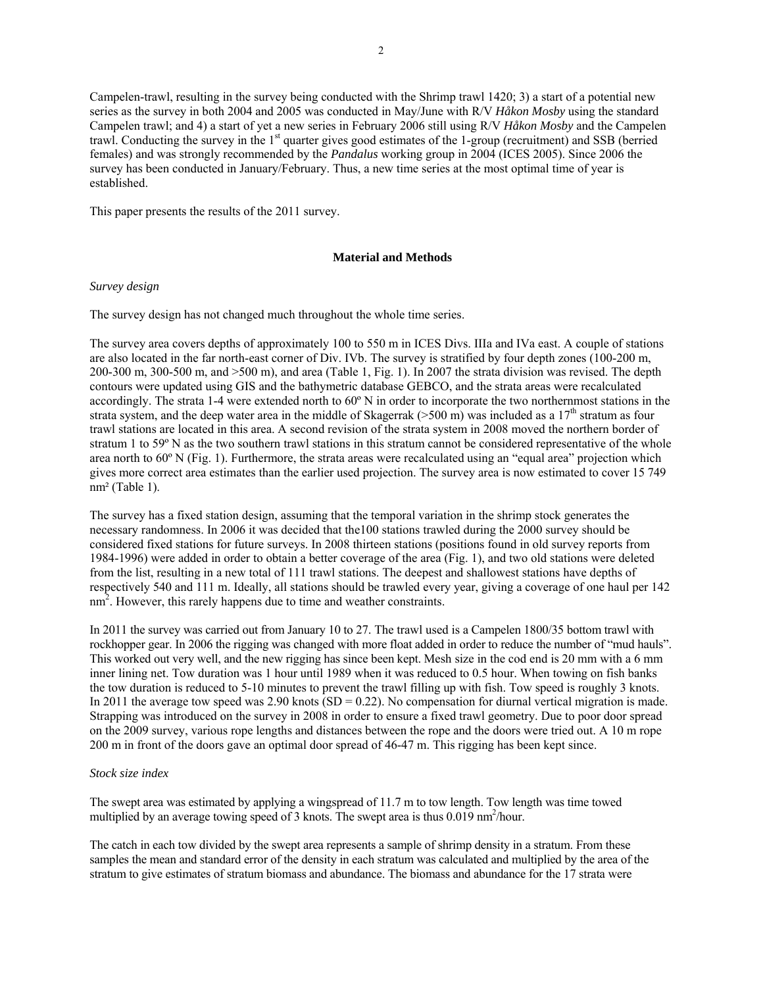Campelen-trawl, resulting in the survey being conducted with the Shrimp trawl 1420; 3) a start of a potential new series as the survey in both 2004 and 2005 was conducted in May/June with R/V *Håkon Mosby* using the standard Campelen trawl; and 4) a start of yet a new series in February 2006 still using R/V *Håkon Mosby* and the Campelen trawl. Conducting the survey in the 1<sup>st</sup> quarter gives good estimates of the 1-group (recruitment) and SSB (berried females) and was strongly recommended by the *Pandalus* working group in 2004 (ICES 2005). Since 2006 the survey has been conducted in January/February. Thus, a new time series at the most optimal time of year is established.

This paper presents the results of the 2011 survey.

#### **Material and Methods**

# *Survey design*

The survey design has not changed much throughout the whole time series.

The survey area covers depths of approximately 100 to 550 m in ICES Divs. IIIa and IVa east. A couple of stations are also located in the far north-east corner of Div. IVb. The survey is stratified by four depth zones (100-200 m, 200-300 m, 300-500 m, and >500 m), and area (Table 1, Fig. 1). In 2007 the strata division was revised. The depth contours were updated using GIS and the bathymetric database GEBCO, and the strata areas were recalculated accordingly. The strata 1-4 were extended north to 60º N in order to incorporate the two northernmost stations in the strata system, and the deep water area in the middle of Skagerrak ( $>500$  m) was included as a 17<sup>th</sup> stratum as four trawl stations are located in this area. A second revision of the strata system in 2008 moved the northern border of stratum 1 to 59<sup>°</sup> N as the two southern trawl stations in this stratum cannot be considered representative of the whole area north to 60º N (Fig. 1). Furthermore, the strata areas were recalculated using an "equal area" projection which gives more correct area estimates than the earlier used projection. The survey area is now estimated to cover 15 749 nm² (Table 1).

The survey has a fixed station design, assuming that the temporal variation in the shrimp stock generates the necessary randomness. In 2006 it was decided that the100 stations trawled during the 2000 survey should be considered fixed stations for future surveys. In 2008 thirteen stations (positions found in old survey reports from 1984-1996) were added in order to obtain a better coverage of the area (Fig. 1), and two old stations were deleted from the list, resulting in a new total of 111 trawl stations. The deepest and shallowest stations have depths of respectively 540 and 111 m. Ideally, all stations should be trawled every year, giving a coverage of one haul per 142 nm<sup>2</sup>. However, this rarely happens due to time and weather constraints.

In 2011 the survey was carried out from January 10 to 27. The trawl used is a Campelen 1800/35 bottom trawl with rockhopper gear. In 2006 the rigging was changed with more float added in order to reduce the number of "mud hauls". This worked out very well, and the new rigging has since been kept. Mesh size in the cod end is 20 mm with a 6 mm inner lining net. Tow duration was 1 hour until 1989 when it was reduced to 0.5 hour. When towing on fish banks the tow duration is reduced to 5-10 minutes to prevent the trawl filling up with fish. Tow speed is roughly 3 knots. In 2011 the average tow speed was 2.90 knots (SD = 0.22). No compensation for diurnal vertical migration is made. Strapping was introduced on the survey in 2008 in order to ensure a fixed trawl geometry. Due to poor door spread on the 2009 survey, various rope lengths and distances between the rope and the doors were tried out. A 10 m rope 200 m in front of the doors gave an optimal door spread of 46-47 m. This rigging has been kept since.

### *Stock size index*

The swept area was estimated by applying a wingspread of 11.7 m to tow length. Tow length was time towed multiplied by an average towing speed of 3 knots. The swept area is thus 0.019 nm<sup>2</sup>/hour.

The catch in each tow divided by the swept area represents a sample of shrimp density in a stratum. From these samples the mean and standard error of the density in each stratum was calculated and multiplied by the area of the stratum to give estimates of stratum biomass and abundance. The biomass and abundance for the 17 strata were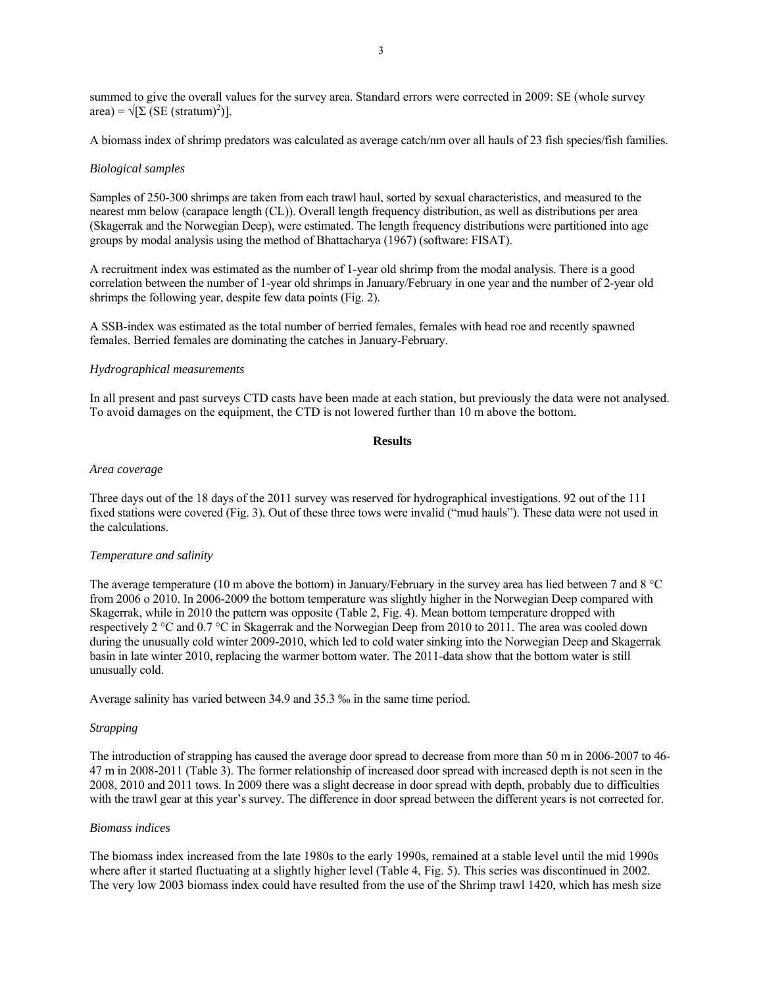summed to give the overall values for the survey area. Standard errors were corrected in 2009: SE (whole survey  $area$ ) =  $\sqrt{\left[\sum (SE (stratum)^2)\right]}$ .

A biomass index of shrimp predators was calculated as average catch/nm over all hauls of 23 fish species/fish families.

#### *Biological samples*

Samples of 250-300 shrimps are taken from each trawl haul, sorted by sexual characteristics, and measured to the nearest mm below (carapace length (CL)). Overall length frequency distribution, as well as distributions per area (Skagerrak and the Norwegian Deep), were estimated. The length frequency distributions were partitioned into age groups by modal analysis using the method of Bhattacharya (1967) (software: FISAT).

A recruitment index was estimated as the number of 1-year old shrimp from the modal analysis. There is a good correlation between the number of 1-year old shrimps in January/February in one year and the number of 2-year old shrimps the following year, despite few data points (Fig. 2).

A SSB-index was estimated as the total number of berried females, females with head roe and recently spawned females. Berried females are dominating the catches in January-February.

## *Hydrographical measurements*

In all present and past surveys CTD casts have been made at each station, but previously the data were not analysed. To avoid damages on the equipment, the CTD is not lowered further than 10 m above the bottom.

#### **Results**

#### *Area coverage*

Three days out of the 18 days of the 2011 survey was reserved for hydrographical investigations. 92 out of the 111 fixed stations were covered (Fig. 3). Out of these three tows were invalid ("mud hauls"). These data were not used in the calculations.

#### *Temperature and salinity*

The average temperature (10 m above the bottom) in January/February in the survey area has lied between 7 and 8 °C from 2006 o 2010. In 2006-2009 the bottom temperature was slightly higher in the Norwegian Deep compared with Skagerrak, while in 2010 the pattern was opposite (Table 2, Fig. 4). Mean bottom temperature dropped with respectively 2 °C and 0.7 °C in Skagerrak and the Norwegian Deep from 2010 to 2011. The area was cooled down during the unusually cold winter 2009-2010, which led to cold water sinking into the Norwegian Deep and Skagerrak basin in late winter 2010, replacing the warmer bottom water. The 2011-data show that the bottom water is still unusually cold.

Average salinity has varied between 34.9 and 35.3 ‰ in the same time period.

#### *Strapping*

The introduction of strapping has caused the average door spread to decrease from more than 50 m in 2006-2007 to 46- 47 m in 2008-2011 (Table 3). The former relationship of increased door spread with increased depth is not seen in the 2008, 2010 and 2011 tows. In 2009 there was a slight decrease in door spread with depth, probably due to difficulties with the trawl gear at this year's survey. The difference in door spread between the different years is not corrected for.

#### *Biomass indices*

The biomass index increased from the late 1980s to the early 1990s, remained at a stable level until the mid 1990s where after it started fluctuating at a slightly higher level (Table 4, Fig. 5). This series was discontinued in 2002. The very low 2003 biomass index could have resulted from the use of the Shrimp trawl 1420, which has mesh size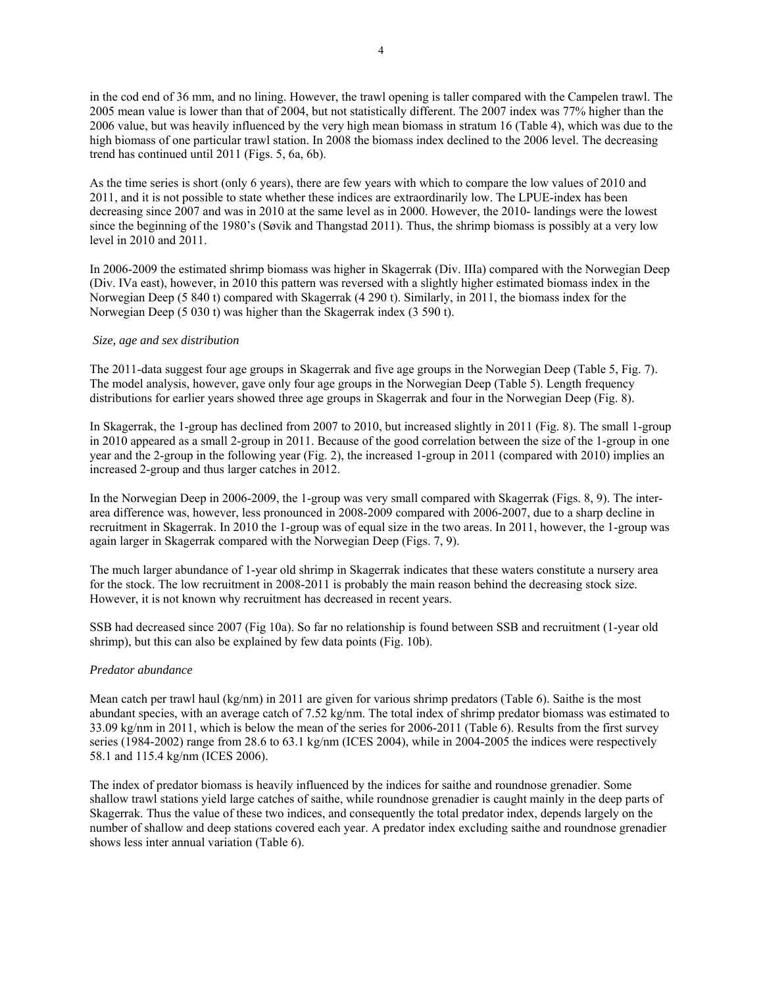in the cod end of 36 mm, and no lining. However, the trawl opening is taller compared with the Campelen trawl. The 2005 mean value is lower than that of 2004, but not statistically different. The 2007 index was 77% higher than the 2006 value, but was heavily influenced by the very high mean biomass in stratum 16 (Table 4), which was due to the high biomass of one particular trawl station. In 2008 the biomass index declined to the 2006 level. The decreasing trend has continued until 2011 (Figs. 5, 6a, 6b).

As the time series is short (only 6 years), there are few years with which to compare the low values of 2010 and 2011, and it is not possible to state whether these indices are extraordinarily low. The LPUE-index has been decreasing since 2007 and was in 2010 at the same level as in 2000. However, the 2010- landings were the lowest since the beginning of the 1980's (Søvik and Thangstad 2011). Thus, the shrimp biomass is possibly at a very low level in 2010 and 2011.

In 2006-2009 the estimated shrimp biomass was higher in Skagerrak (Div. IIIa) compared with the Norwegian Deep (Div. IVa east), however, in 2010 this pattern was reversed with a slightly higher estimated biomass index in the Norwegian Deep (5 840 t) compared with Skagerrak (4 290 t). Similarly, in 2011, the biomass index for the Norwegian Deep (5 030 t) was higher than the Skagerrak index (3 590 t).

## *Size, age and sex distribution*

The 2011-data suggest four age groups in Skagerrak and five age groups in the Norwegian Deep (Table 5, Fig. 7). The model analysis, however, gave only four age groups in the Norwegian Deep (Table 5). Length frequency distributions for earlier years showed three age groups in Skagerrak and four in the Norwegian Deep (Fig. 8).

In Skagerrak, the 1-group has declined from 2007 to 2010, but increased slightly in 2011 (Fig. 8). The small 1-group in 2010 appeared as a small 2-group in 2011. Because of the good correlation between the size of the 1-group in one year and the 2-group in the following year (Fig. 2), the increased 1-group in 2011 (compared with 2010) implies an increased 2-group and thus larger catches in 2012.

In the Norwegian Deep in 2006-2009, the 1-group was very small compared with Skagerrak (Figs. 8, 9). The interarea difference was, however, less pronounced in 2008-2009 compared with 2006-2007, due to a sharp decline in recruitment in Skagerrak. In 2010 the 1-group was of equal size in the two areas. In 2011, however, the 1-group was again larger in Skagerrak compared with the Norwegian Deep (Figs. 7, 9).

The much larger abundance of 1-year old shrimp in Skagerrak indicates that these waters constitute a nursery area for the stock. The low recruitment in 2008-2011 is probably the main reason behind the decreasing stock size. However, it is not known why recruitment has decreased in recent years.

SSB had decreased since 2007 (Fig 10a). So far no relationship is found between SSB and recruitment (1-year old shrimp), but this can also be explained by few data points (Fig. 10b).

## *Predator abundance*

Mean catch per trawl haul (kg/nm) in 2011 are given for various shrimp predators (Table 6). Saithe is the most abundant species, with an average catch of 7.52 kg/nm. The total index of shrimp predator biomass was estimated to 33.09 kg/nm in 2011, which is below the mean of the series for 2006-2011 (Table 6). Results from the first survey series (1984-2002) range from 28.6 to 63.1 kg/nm (ICES 2004), while in 2004-2005 the indices were respectively 58.1 and 115.4 kg/nm (ICES 2006).

The index of predator biomass is heavily influenced by the indices for saithe and roundnose grenadier. Some shallow trawl stations yield large catches of saithe, while roundnose grenadier is caught mainly in the deep parts of Skagerrak. Thus the value of these two indices, and consequently the total predator index, depends largely on the number of shallow and deep stations covered each year. A predator index excluding saithe and roundnose grenadier shows less inter annual variation (Table 6).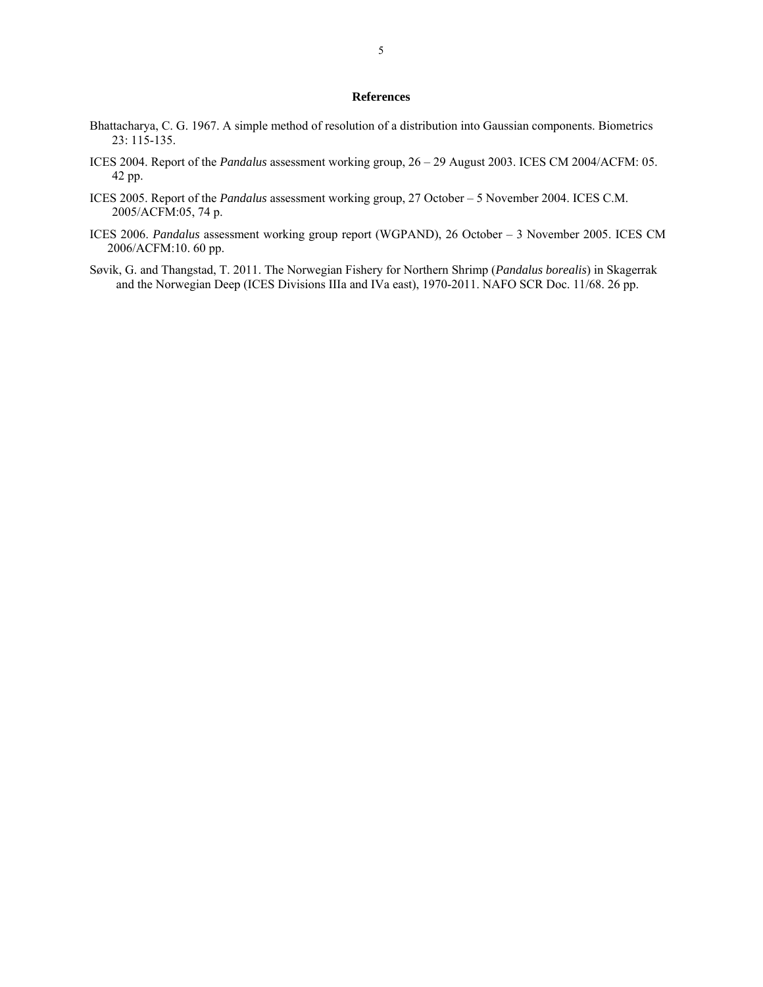# **References**

- Bhattacharya, C. G. 1967. A simple method of resolution of a distribution into Gaussian components. Biometrics 23: 115-135.
- ICES 2004. Report of the *Pandalus* assessment working group, 26 29 August 2003. ICES CM 2004/ACFM: 05. 42 pp.
- ICES 2005. Report of the *Pandalus* assessment working group, 27 October 5 November 2004. ICES C.M. 2005/ACFM:05, 74 p.
- ICES 2006. *Pandalus* assessment working group report (WGPAND), 26 October 3 November 2005. ICES CM 2006/ACFM:10. 60 pp.
- Søvik, G. and Thangstad, T. 2011. The Norwegian Fishery for Northern Shrimp (*Pandalus borealis*) in Skagerrak and the Norwegian Deep (ICES Divisions IIIa and IVa east), 1970-2011. NAFO SCR Doc. 11/68. 26 pp.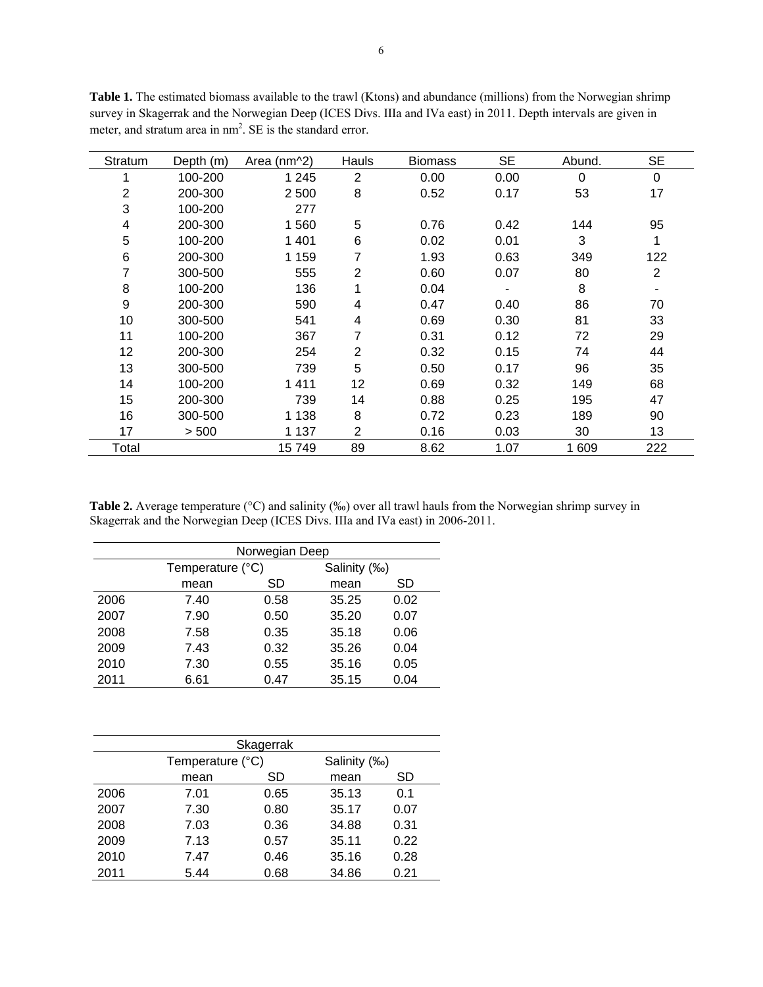| Stratum | Depth (m) | Area (nm^2) | Hauls | <b>Biomass</b> | <b>SE</b> | Abund. | <b>SE</b>      |
|---------|-----------|-------------|-------|----------------|-----------|--------|----------------|
| 1       | 100-200   | 1 2 4 5     | 2     | 0.00           | 0.00      | 0      | $\mathbf 0$    |
| 2       | 200-300   | 2 500       | 8     | 0.52           | 0.17      | 53     | 17             |
| 3       | 100-200   | 277         |       |                |           |        |                |
| 4       | 200-300   | 1 560       | 5     | 0.76           | 0.42      | 144    | 95             |
| 5       | 100-200   | 1401        | 6     | 0.02           | 0.01      | 3      | 1              |
| 6       | 200-300   | 1 1 5 9     | 7     | 1.93           | 0.63      | 349    | 122            |
| 7       | 300-500   | 555         | 2     | 0.60           | 0.07      | 80     | $\overline{2}$ |
| 8       | 100-200   | 136         | 1     | 0.04           |           | 8      | ۰              |
| 9       | 200-300   | 590         | 4     | 0.47           | 0.40      | 86     | 70             |
| 10      | 300-500   | 541         | 4     | 0.69           | 0.30      | 81     | 33             |
| 11      | 100-200   | 367         | 7     | 0.31           | 0.12      | 72     | 29             |
| 12      | 200-300   | 254         | 2     | 0.32           | 0.15      | 74     | 44             |
| 13      | 300-500   | 739         | 5     | 0.50           | 0.17      | 96     | 35             |
| 14      | 100-200   | 1411        | 12    | 0.69           | 0.32      | 149    | 68             |
| 15      | 200-300   | 739         | 14    | 0.88           | 0.25      | 195    | 47             |
| 16      | 300-500   | 1 1 3 8     | 8     | 0.72           | 0.23      | 189    | 90             |
| 17      | > 500     | 1 1 3 7     | 2     | 0.16           | 0.03      | 30     | 13             |
| Total   |           | 15 749      | 89    | 8.62           | 1.07      | 1 609  | 222            |

**Table 1.** The estimated biomass available to the trawl (Ktons) and abundance (millions) from the Norwegian shrimp survey in Skagerrak and the Norwegian Deep (ICES Divs. IIIa and IVa east) in 2011. Depth intervals are given in meter, and stratum area in  $nm^2$ . SE is the standard error.

Table 2. Average temperature (°C) and salinity (‰) over all trawl hauls from the Norwegian shrimp survey in Skagerrak and the Norwegian Deep (ICES Divs. IIIa and IVa east) in 2006-2011.

|      | Norwegian Deep   |      |              |      |  |  |  |  |  |  |  |
|------|------------------|------|--------------|------|--|--|--|--|--|--|--|
|      | Temperature (°C) |      | Salinity (‰) |      |  |  |  |  |  |  |  |
|      | mean             | SD   | mean         | SD   |  |  |  |  |  |  |  |
| 2006 | 7.40             | 0.58 | 35.25        | 0.02 |  |  |  |  |  |  |  |
| 2007 | 7.90             | 0.50 | 35.20        | 0.07 |  |  |  |  |  |  |  |
| 2008 | 7.58             | 0.35 | 35.18        | 0.06 |  |  |  |  |  |  |  |
| 2009 | 7.43             | 0.32 | 35.26        | 0.04 |  |  |  |  |  |  |  |
| 2010 | 7.30             | 0.55 | 35.16        | 0.05 |  |  |  |  |  |  |  |
| 2011 | 6.61             | 0.47 | 35.15        | 0.04 |  |  |  |  |  |  |  |

| Skagerrak |                  |      |              |      |  |  |  |  |  |  |
|-----------|------------------|------|--------------|------|--|--|--|--|--|--|
|           | Temperature (°C) |      | Salinity (‰) |      |  |  |  |  |  |  |
|           | mean             | SD   | mean         | SD   |  |  |  |  |  |  |
| 2006      | 7.01             | 0.65 | 35.13        | 0.1  |  |  |  |  |  |  |
| 2007      | 7.30             | 0.80 | 35.17        | 0.07 |  |  |  |  |  |  |
| 2008      | 7.03             | 0.36 | 34.88        | 0.31 |  |  |  |  |  |  |
| 2009      | 7.13             | 0.57 | 35.11        | 0.22 |  |  |  |  |  |  |
| 2010      | 7.47             | 0.46 | 35.16        | 0.28 |  |  |  |  |  |  |
| 2011      | 5.44             | 0.68 | 34.86        | 0.21 |  |  |  |  |  |  |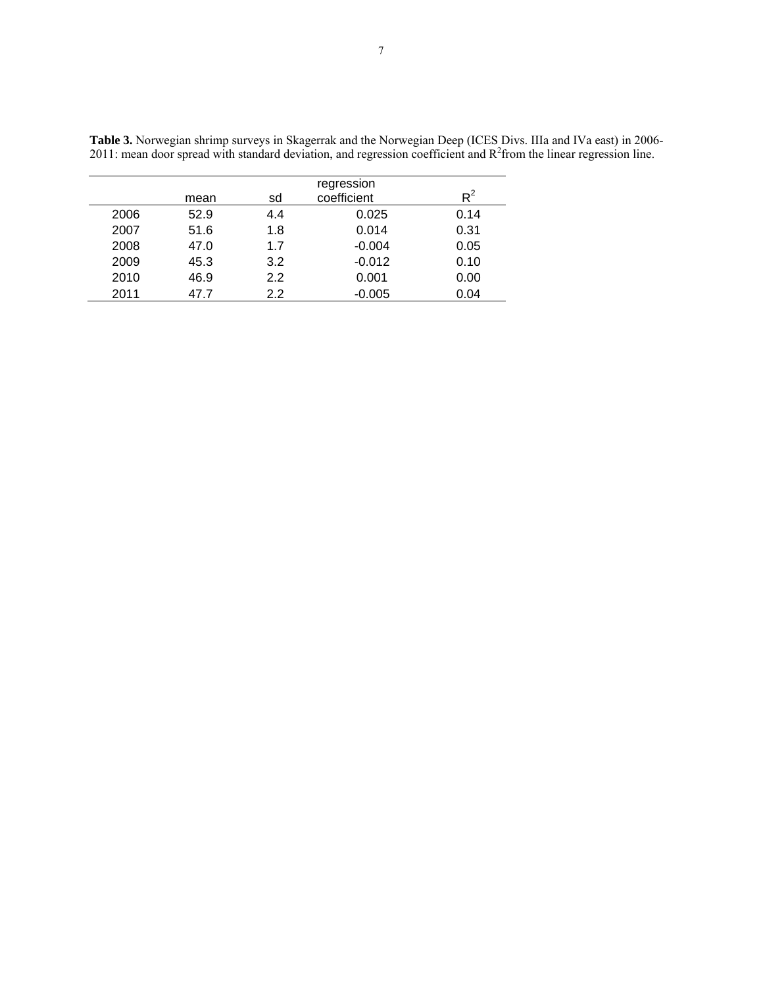|      | mean | sd      | regression<br>coefficient | $\mathsf{R}^2$ |
|------|------|---------|---------------------------|----------------|
| 2006 | 52.9 | 4.4     | 0.025                     | 0.14           |
| 2007 | 51.6 | 1.8     | 0.014                     | 0.31           |
| 2008 | 47.0 | 1.7     | $-0.004$                  | 0.05           |
| 2009 | 45.3 | 3.2     | $-0.012$                  | 0.10           |
| 2010 | 46.9 | 2.2     | 0.001                     | 0.00           |
| 2011 | 47.7 | $2.2\,$ | $-0.005$                  | 0.04           |

**Table 3.** Norwegian shrimp surveys in Skagerrak and the Norwegian Deep (ICES Divs. IIIa and IVa east) in 2006- 2011: mean door spread with standard deviation, and regression coefficient and  $R^2$ from the linear regression line.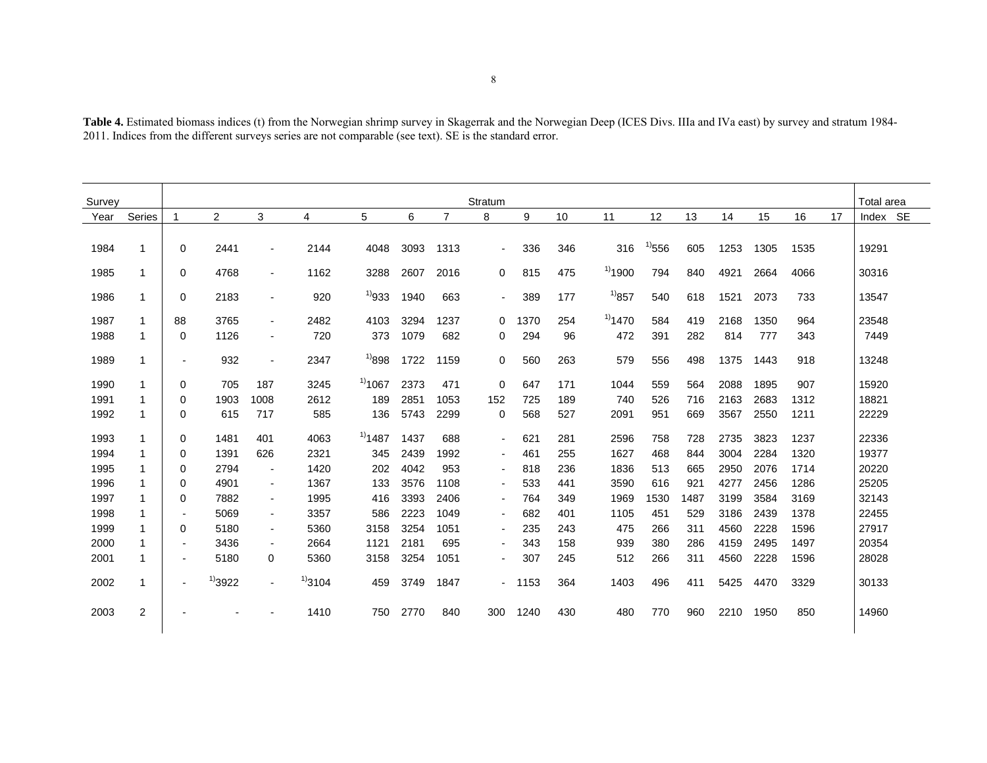| <b>Table 4.</b> Estimated biomass indices (t) from the Norwegian shrimp survey in Skagerrak and the Norwegian Deep (ICES Divs. IIIa and IVa east) by survey and stratum 1984- |  |
|-------------------------------------------------------------------------------------------------------------------------------------------------------------------------------|--|
| 2011. Indices from the different surveys series are not comparable (see text). SE is the standard error.                                                                      |  |

| Survey |                |                          |              |                          |              |              |      |                | Stratum      |         |     |              |             |      |      |      |      |    | Total area |
|--------|----------------|--------------------------|--------------|--------------------------|--------------|--------------|------|----------------|--------------|---------|-----|--------------|-------------|------|------|------|------|----|------------|
| Year   | Series         | 1                        | 2            | 3                        | 4            | 5            | 6    | $\overline{7}$ | 8            | 9       | 10  | 11           | 12          | 13   | 14   | 15   | 16   | 17 | Index SE   |
| 1984   | -1             | 0                        | 2441         | $\overline{\phantom{a}}$ | 2144         | 4048         | 3093 | 1313           | $\sim$       | 336     | 346 | 316          | $^{11}$ 556 | 605  | 1253 | 1305 | 1535 |    | 19291      |
| 1985   | -1             | 0                        | 4768         | $\overline{\phantom{a}}$ | 1162         | 3288         | 2607 | 2016           | $\mathbf{0}$ | 815     | 475 | $^{1)}$ 1900 | 794         | 840  | 4921 | 2664 | 4066 |    | 30316      |
| 1986   | -1             | 0                        | 2183         | $\overline{\phantom{a}}$ | 920          | $^{11}933$   | 1940 | 663            | $\sim$       | 389     | 177 | $^{1)}857$   | 540         | 618  | 1521 | 2073 | 733  |    | 13547      |
| 1987   | -1             | 88                       | 3765         | $\overline{\phantom{a}}$ | 2482         | 4103         | 3294 | 1237           | $\mathbf{0}$ | 1370    | 254 | $^{1)}$ 1470 | 584         | 419  | 2168 | 1350 | 964  |    | 23548      |
| 1988   | -1             | 0                        | 1126         | $\blacksquare$           | 720          | 373          | 1079 | 682            | 0            | 294     | 96  | 472          | 391         | 282  | 814  | 777  | 343  |    | 7449       |
| 1989   | -1             | $\blacksquare$           | 932          | $\overline{\phantom{a}}$ | 2347         | $^{1)}898$   | 1722 | 1159           | 0            | 560     | 263 | 579          | 556         | 498  | 1375 | 1443 | 918  |    | 13248      |
| 1990   | -1             | 0                        | 705          | 187                      | 3245         | $^{11}$ 1067 | 2373 | 471            | 0            | 647     | 171 | 1044         | 559         | 564  | 2088 | 1895 | 907  |    | 15920      |
| 1991   | -1             | 0                        | 1903         | 1008                     | 2612         | 189          | 2851 | 1053           | 152          | 725     | 189 | 740          | 526         | 716  | 2163 | 2683 | 1312 |    | 18821      |
| 1992   | -1             | 0                        | 615          | 717                      | 585          | 136          | 5743 | 2299           | 0            | 568     | 527 | 2091         | 951         | 669  | 3567 | 2550 | 1211 |    | 22229      |
| 1993   | -1             | 0                        | 1481         | 401                      | 4063         | $^{11}$ 1487 | 1437 | 688            | $\sim$       | 621     | 281 | 2596         | 758         | 728  | 2735 | 3823 | 1237 |    | 22336      |
| 1994   |                | 0                        | 1391         | 626                      | 2321         | 345          | 2439 | 1992           | $\sim$       | 461     | 255 | 1627         | 468         | 844  | 3004 | 2284 | 1320 |    | 19377      |
| 1995   | -1             | 0                        | 2794         | $\overline{\phantom{a}}$ | 1420         | 202          | 4042 | 953            | $\sim$       | 818     | 236 | 1836         | 513         | 665  | 2950 | 2076 | 1714 |    | 20220      |
| 1996   | -1             | 0                        | 4901         | $\blacksquare$           | 1367         | 133          | 3576 | 1108           | $\sim$       | 533     | 441 | 3590         | 616         | 921  | 4277 | 2456 | 1286 |    | 25205      |
| 1997   | -1             | 0                        | 7882         | $\sim$                   | 1995         | 416          | 3393 | 2406           | $\sim$       | 764     | 349 | 1969         | 1530        | 1487 | 3199 | 3584 | 3169 |    | 32143      |
| 1998   | -1             | $\blacksquare$           | 5069         | $\sim$                   | 3357         | 586          | 2223 | 1049           | $\sim$       | 682     | 401 | 1105         | 451         | 529  | 3186 | 2439 | 1378 |    | 22455      |
| 1999   |                | 0                        | 5180         | $\sim$                   | 5360         | 3158         | 3254 | 1051           | $\sim$       | 235     | 243 | 475          | 266         | 311  | 4560 | 2228 | 1596 |    | 27917      |
| 2000   | -1             | $\overline{\phantom{a}}$ | 3436         | $\overline{\phantom{a}}$ | 2664         | 1121         | 2181 | 695            | $\sim$       | 343     | 158 | 939          | 380         | 286  | 4159 | 2495 | 1497 |    | 20354      |
| 2001   | -1             | $\blacksquare$           | 5180         | 0                        | 5360         | 3158         | 3254 | 1051           | $\sim$       | 307     | 245 | 512          | 266         | 311  | 4560 | 2228 | 1596 |    | 28028      |
| 2002   | -1             |                          | $^{1)}$ 3922 | $\overline{\phantom{a}}$ | $^{1)}$ 3104 | 459          | 3749 | 1847           |              | $-1153$ | 364 | 1403         | 496         | 411  | 5425 | 4470 | 3329 |    | 30133      |
| 2003   | $\overline{2}$ |                          |              |                          | 1410         | 750          | 2770 | 840            | 300          | 1240    | 430 | 480          | 770         | 960  | 2210 | 1950 | 850  |    | 14960      |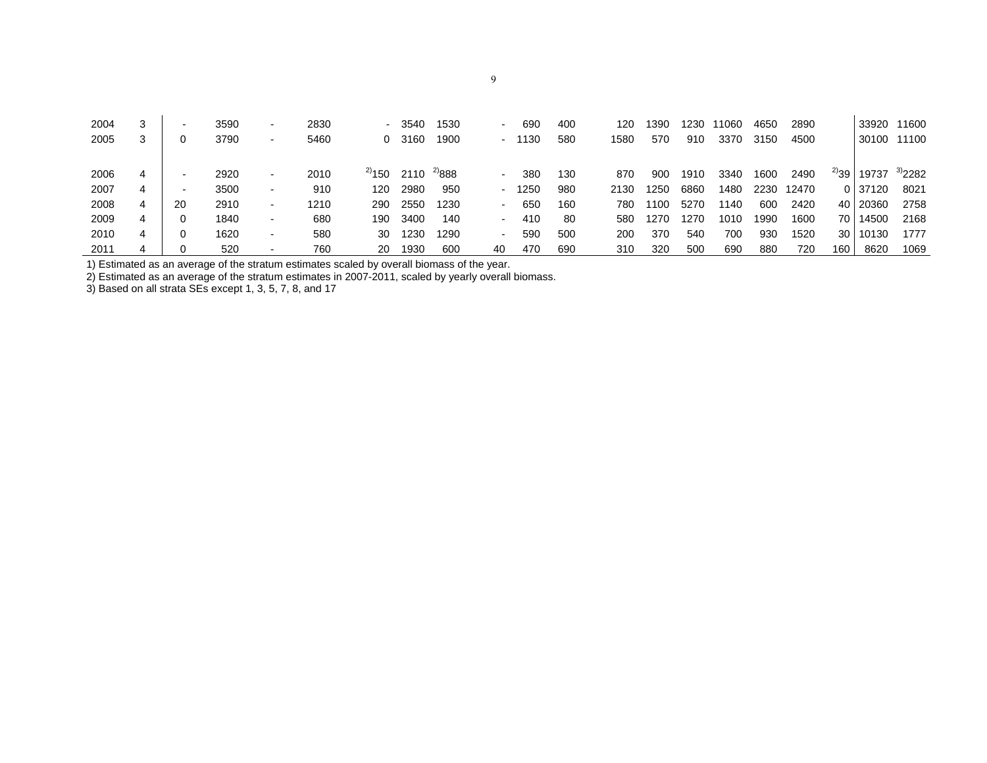| 2004<br>2005 | 3 | $\overline{\phantom{a}}$<br>0 | 3590<br>3790 | $\overline{\phantom{a}}$<br>$\blacksquare$ | 2830<br>5460 | 0           | 3540<br>3160 | 1530<br>1900 |    | 690<br>$-1130$ | 400<br>580 | 120<br>1580 | 1390<br>570 | 1230<br>910 | 11060<br>3370 | 4650<br>3150 | 2890<br>4500 |                 | 33920 11600<br>30100 11100 |              |
|--------------|---|-------------------------------|--------------|--------------------------------------------|--------------|-------------|--------------|--------------|----|----------------|------------|-------------|-------------|-------------|---------------|--------------|--------------|-----------------|----------------------------|--------------|
| 2006         |   | $\overline{\phantom{0}}$      | 2920         | $\blacksquare$                             | 2010         | $^{2)}$ 150 | 2110         | $^{2/888}$   |    | 380            | 130        | 870         | 900         | 1910        | 3340          | 1600         | 2490         | $^{2)}39$       | 19737                      | $^{3)}$ 2282 |
| 2007         | 4 | $\overline{\phantom{0}}$      | 3500         | $\blacksquare$                             | 910          | 120         | 2980         | 950          |    | $-1250$        | 980        | 2130        | 1250        | 6860        | 1480          | 2230         | 12470        |                 | 0 37120                    | 8021         |
| 2008         |   | 20                            | 2910         | $\blacksquare$                             | 1210         | 290         | 2550         | 1230         |    | 650            | 160        | 780         | 1100        | 5270        | 1140          | 600          | 2420         |                 | 40 20360                   | 2758         |
| 2009         |   | 0                             | 1840         | $\overline{\phantom{a}}$                   | 680          | 190         | 3400         | 140          |    | 410            | -80        | 580         | 1270        | 1270        | 1010          | 1990         | 1600         | 70 I            | 14500                      | 2168         |
| 2010         | 4 | 0                             | 1620         | $\blacksquare$                             | 580          | 30          | 1230         | 1290         |    | 590            | 500        | 200         | 370         | 540         | 700           | 930          | 1520         | 30 <sup>1</sup> | 10130                      | 1777         |
| 2011         |   |                               | 520          | $\overline{\phantom{a}}$                   | 760          | 20          | 1930         | 600          | 40 | 470            | 690        | 310         | 320         | 500         | 690           | 880          | 720          | 160             | 8620                       | 1069         |

1) Estimated as an average of the stratum estimates scaled by overall biomass of the year.

2) Estimated as an average of the stratum estimates in 2007-2011, scaled by yearly overall biomass.

3) Based on all strata SEs except 1, 3, 5, 7, 8, and 17

9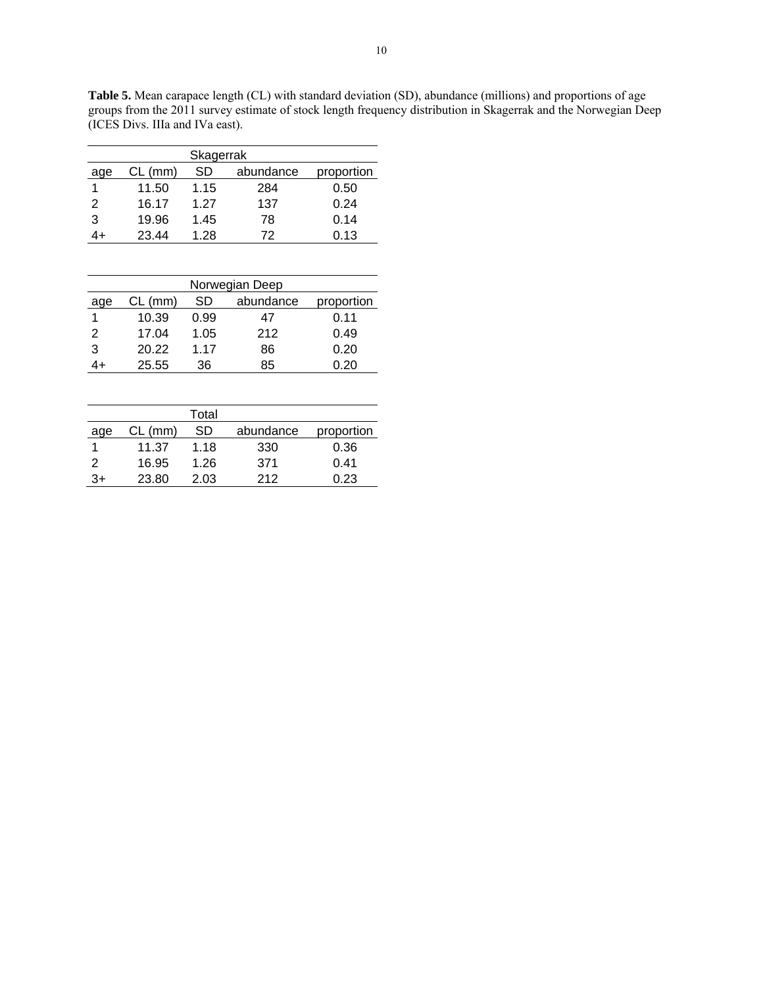**Table 5.** Mean carapace length (CL) with standard deviation (SD), abundance (millions) and proportions of age groups from the 2011 survey estimate of stock length frequency distribution in Skagerrak and the Norwegian Deep (ICES Divs. IIIa and IVa east).

| Skagerrak |         |      |           |            |  |  |  |  |  |  |
|-----------|---------|------|-----------|------------|--|--|--|--|--|--|
| age       | CL (mm) | SD   | abundance | proportion |  |  |  |  |  |  |
|           | 11.50   | 1.15 | 284       | 0.50       |  |  |  |  |  |  |
| 2         | 16.17   | 1.27 | 137       | 0.24       |  |  |  |  |  |  |
| 3         | 19.96   | 1.45 | 78        | 0.14       |  |  |  |  |  |  |
|           | 23.44   | 1.28 | 72        | 0.13       |  |  |  |  |  |  |
|           |         |      |           |            |  |  |  |  |  |  |

| Norwegian Deep                                    |       |      |     |      |  |  |  |  |  |  |  |
|---------------------------------------------------|-------|------|-----|------|--|--|--|--|--|--|--|
| abundance<br>SD<br>$CL$ (mm)<br>proportion<br>age |       |      |     |      |  |  |  |  |  |  |  |
|                                                   | 10.39 | 0.99 | 47  | 0.11 |  |  |  |  |  |  |  |
| 2                                                 | 17.04 | 1.05 | 212 | 0.49 |  |  |  |  |  |  |  |
| 3                                                 | 20.22 | 1.17 | 86  | 0.20 |  |  |  |  |  |  |  |
|                                                   | 25.55 | 36   | 85  | 0.20 |  |  |  |  |  |  |  |

|     |           | Total |           |            |
|-----|-----------|-------|-----------|------------|
| age | $CL$ (mm) | SD    | abundance | proportion |
|     | 11.37     | 1.18  | 330       | 0.36       |
| 2   | 16.95     | 1.26  | 371       | 0.41       |
| 3+  | 23.80     | 2.03  | 212       | 0.23       |
|     |           |       |           |            |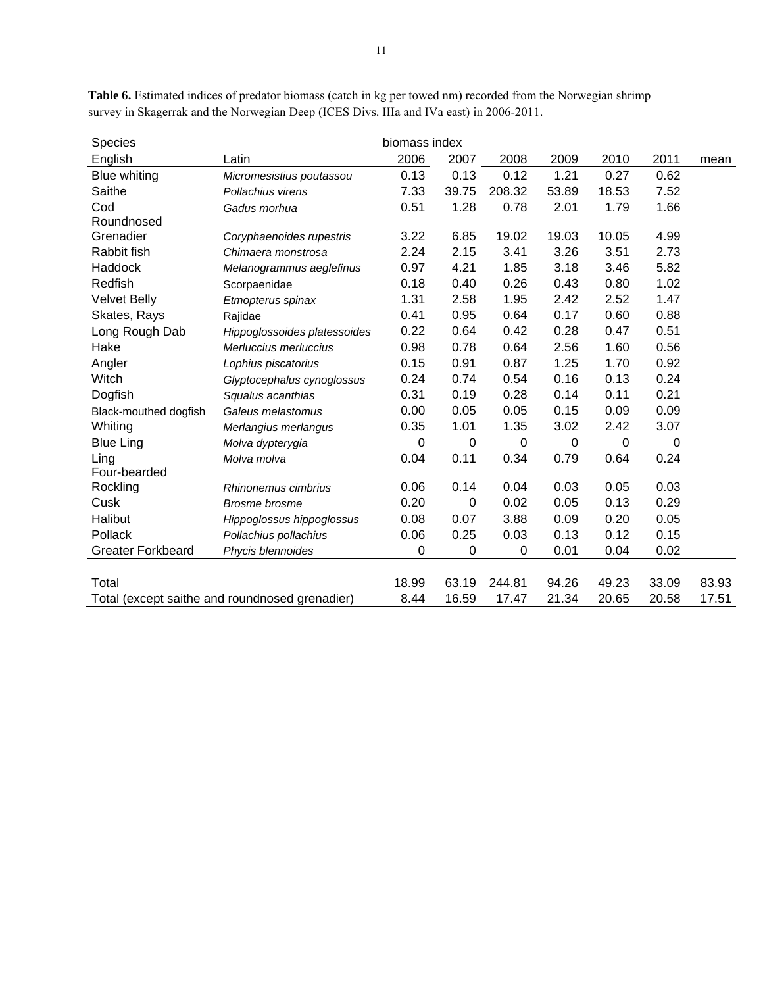| Species                  |                                                | biomass index |       |        |       |          |          |       |
|--------------------------|------------------------------------------------|---------------|-------|--------|-------|----------|----------|-------|
| English                  | Latin                                          | 2006          | 2007  | 2008   | 2009  | 2010     | 2011     | mean  |
| Blue whiting             | Micromesistius poutassou                       | 0.13          | 0.13  | 0.12   | 1.21  | 0.27     | 0.62     |       |
| Saithe                   | Pollachius virens                              | 7.33          | 39.75 | 208.32 | 53.89 | 18.53    | 7.52     |       |
| Cod                      | Gadus morhua                                   | 0.51          | 1.28  | 0.78   | 2.01  | 1.79     | 1.66     |       |
| Roundnosed               |                                                |               |       |        |       |          |          |       |
| Grenadier                | Coryphaenoides rupestris                       | 3.22          | 6.85  | 19.02  | 19.03 | 10.05    | 4.99     |       |
| Rabbit fish              | Chimaera monstrosa                             | 2.24          | 2.15  | 3.41   | 3.26  | 3.51     | 2.73     |       |
| Haddock                  | Melanogrammus aeglefinus                       | 0.97          | 4.21  | 1.85   | 3.18  | 3.46     | 5.82     |       |
| Redfish                  | Scorpaenidae                                   | 0.18          | 0.40  | 0.26   | 0.43  | 0.80     | 1.02     |       |
| <b>Velvet Belly</b>      | Etmopterus spinax                              | 1.31          | 2.58  | 1.95   | 2.42  | 2.52     | 1.47     |       |
| Skates, Rays             | Rajidae                                        | 0.41          | 0.95  | 0.64   | 0.17  | 0.60     | 0.88     |       |
| Long Rough Dab           | Hippoglossoides platessoides                   | 0.22          | 0.64  | 0.42   | 0.28  | 0.47     | 0.51     |       |
| Hake                     | Merluccius merluccius                          | 0.98          | 0.78  | 0.64   | 2.56  | 1.60     | 0.56     |       |
| Angler                   | Lophius piscatorius                            | 0.15          | 0.91  | 0.87   | 1.25  | 1.70     | 0.92     |       |
| Witch                    | Glyptocephalus cynoglossus                     | 0.24          | 0.74  | 0.54   | 0.16  | 0.13     | 0.24     |       |
| Dogfish                  | Squalus acanthias                              | 0.31          | 0.19  | 0.28   | 0.14  | 0.11     | 0.21     |       |
| Black-mouthed dogfish    | Galeus melastomus                              | 0.00          | 0.05  | 0.05   | 0.15  | 0.09     | 0.09     |       |
| Whiting                  | Merlangius merlangus                           | 0.35          | 1.01  | 1.35   | 3.02  | 2.42     | 3.07     |       |
| <b>Blue Ling</b>         | Molva dypterygia                               | 0             | 0     | 0      | 0     | $\Omega$ | $\Omega$ |       |
| Ling                     | Molva molva                                    | 0.04          | 0.11  | 0.34   | 0.79  | 0.64     | 0.24     |       |
| Four-bearded             |                                                |               |       |        |       |          |          |       |
| Rockling                 | Rhinonemus cimbrius                            | 0.06          | 0.14  | 0.04   | 0.03  | 0.05     | 0.03     |       |
| Cusk                     | <b>Brosme</b> brosme                           | 0.20          | 0     | 0.02   | 0.05  | 0.13     | 0.29     |       |
| Halibut                  | Hippoglossus hippoglossus                      | 0.08          | 0.07  | 3.88   | 0.09  | 0.20     | 0.05     |       |
| Pollack                  | Pollachius pollachius                          | 0.06          | 0.25  | 0.03   | 0.13  | 0.12     | 0.15     |       |
| <b>Greater Forkbeard</b> | Phycis blennoides                              | 0             | 0     | 0      | 0.01  | 0.04     | 0.02     |       |
|                          |                                                |               |       |        |       |          |          |       |
| Total                    |                                                | 18.99         | 63.19 | 244.81 | 94.26 | 49.23    | 33.09    | 83.93 |
|                          | Total (except saithe and roundnosed grenadier) | 8.44          | 16.59 | 17.47  | 21.34 | 20.65    | 20.58    | 17.51 |

**Table 6.** Estimated indices of predator biomass (catch in kg per towed nm) recorded from the Norwegian shrimp survey in Skagerrak and the Norwegian Deep (ICES Divs. IIIa and IVa east) in 2006-2011.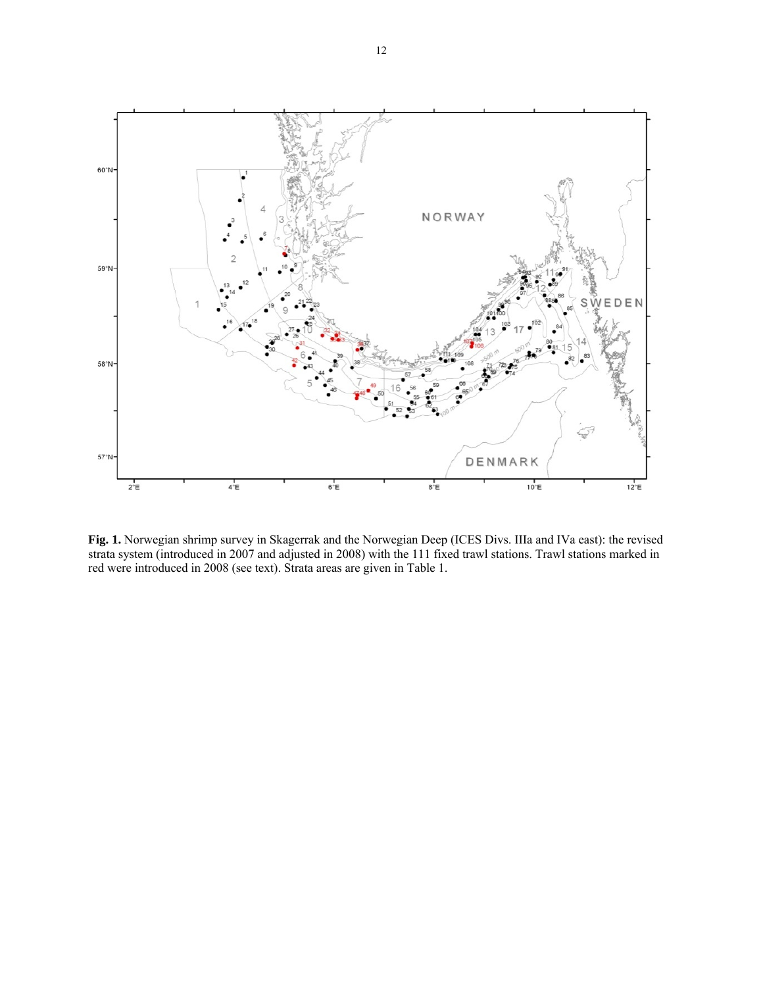

**Fig. 1.** Norwegian shrimp survey in Skagerrak and the Norwegian Deep (ICES Divs. IIIa and IVa east): the revised strata system (introduced in 2007 and adjusted in 2008) with the 111 fixed trawl stations. Trawl stations marked in red were introduced in 2008 (see text). Strata areas are given in Table 1.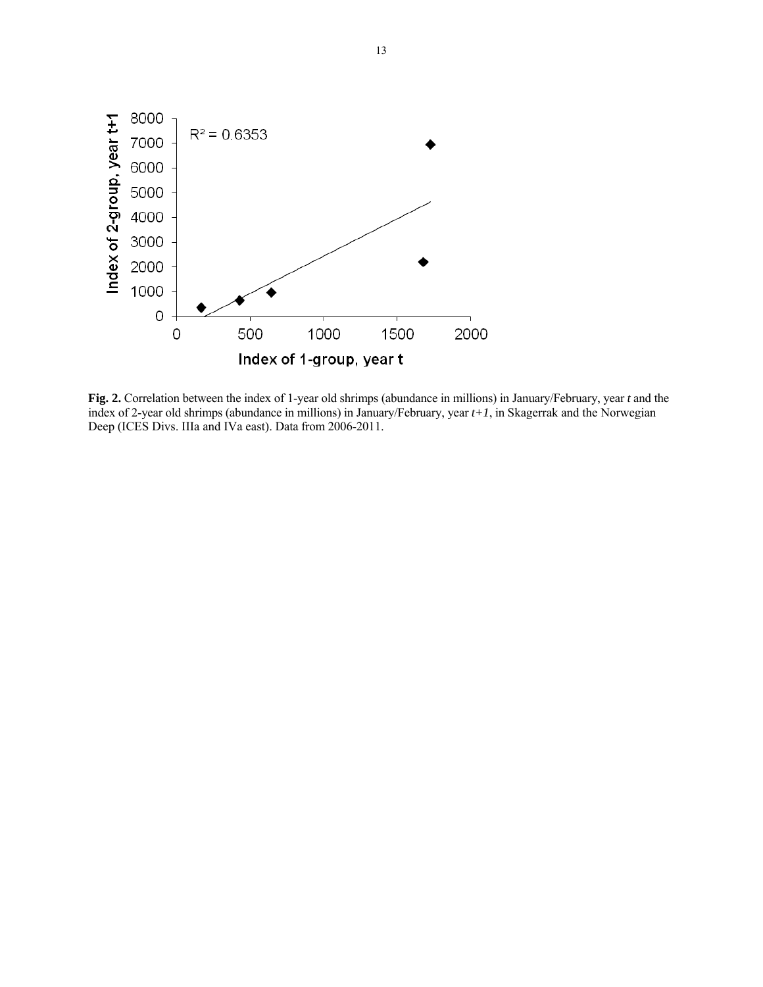

**Fig. 2.** Correlation between the index of 1-year old shrimps (abundance in millions) in January/February, year *t* and the index of 2-year old shrimps (abundance in millions) in January/February, year *t+1*, in Skagerrak and the Norwegian Deep (ICES Divs. IIIa and IVa east). Data from 2006-2011.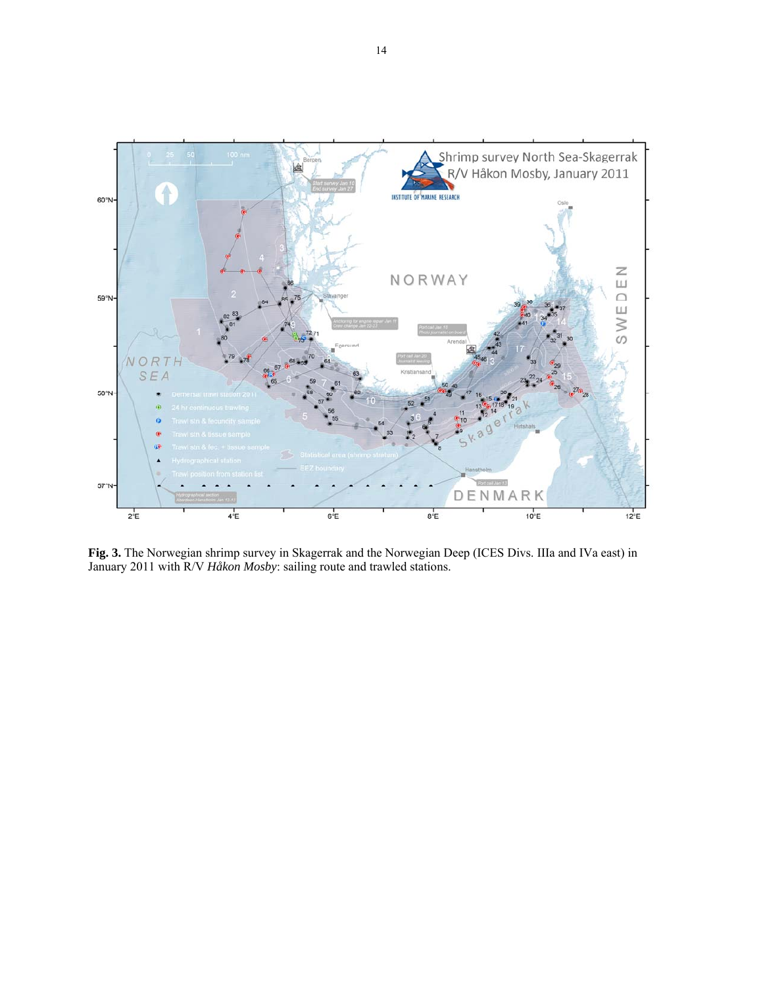

**Fig. 3.** The Norwegian shrimp survey in Skagerrak and the Norwegian Deep (ICES Divs. IIIa and IVa east) in January 2011 with R/V *Håkon Mosby*: sailing route and trawled stations.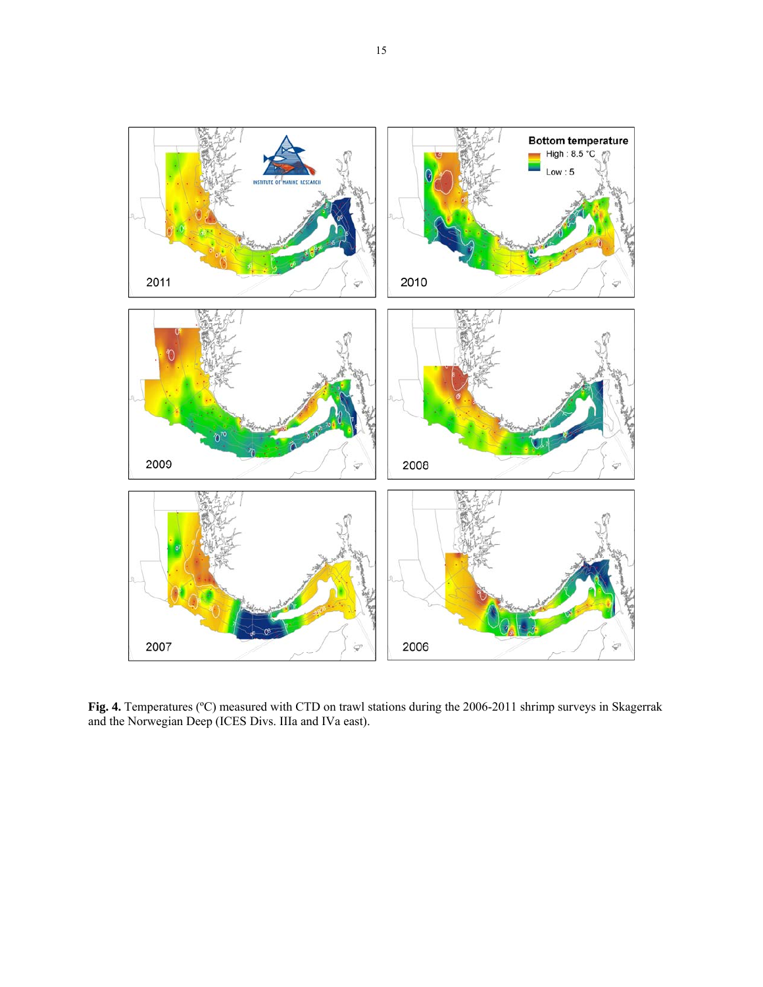

**Fig. 4.** Temperatures (ºC) measured with CTD on trawl stations during the 2006-2011 shrimp surveys in Skagerrak and the Norwegian Deep (ICES Divs. IIIa and IVa east).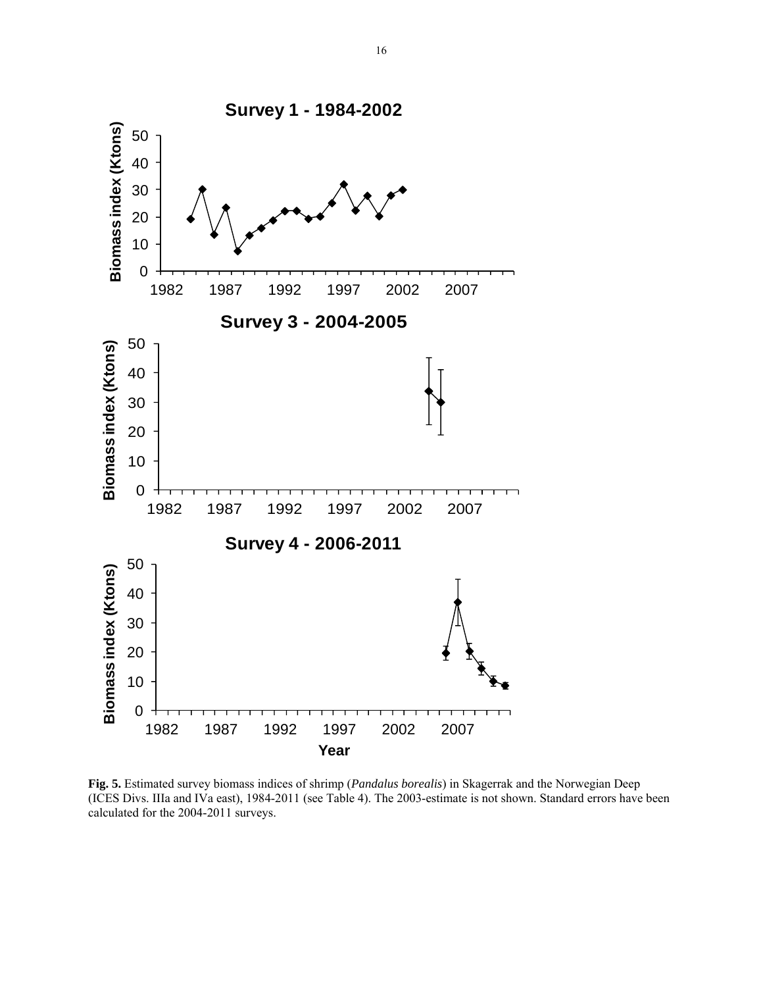

**Fig. 5.** Estimated survey biomass indices of shrimp (*Pandalus borealis*) in Skagerrak and the Norwegian Deep (ICES Divs. IIIa and IVa east), 1984-2011 (see Table 4). The 2003-estimate is not shown. Standard errors have been calculated for the 2004-2011 surveys.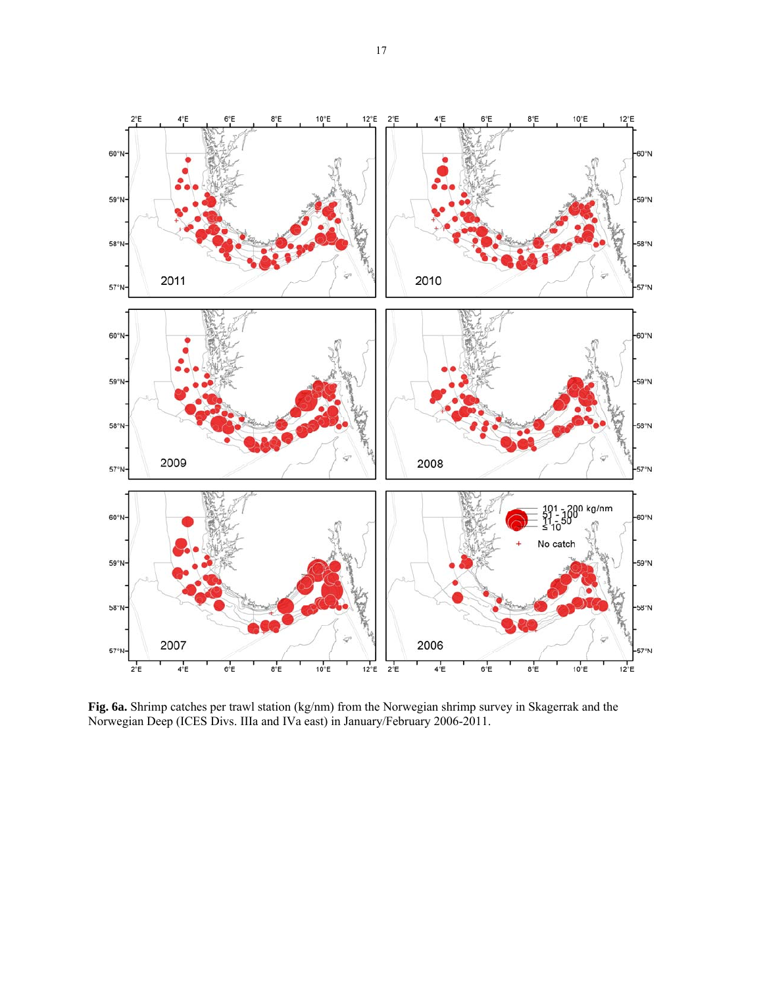

**Fig. 6a.** Shrimp catches per trawl station (kg/nm) from the Norwegian shrimp survey in Skagerrak and the Norwegian Deep (ICES Divs. IIIa and IVa east) in January/February 2006-2011.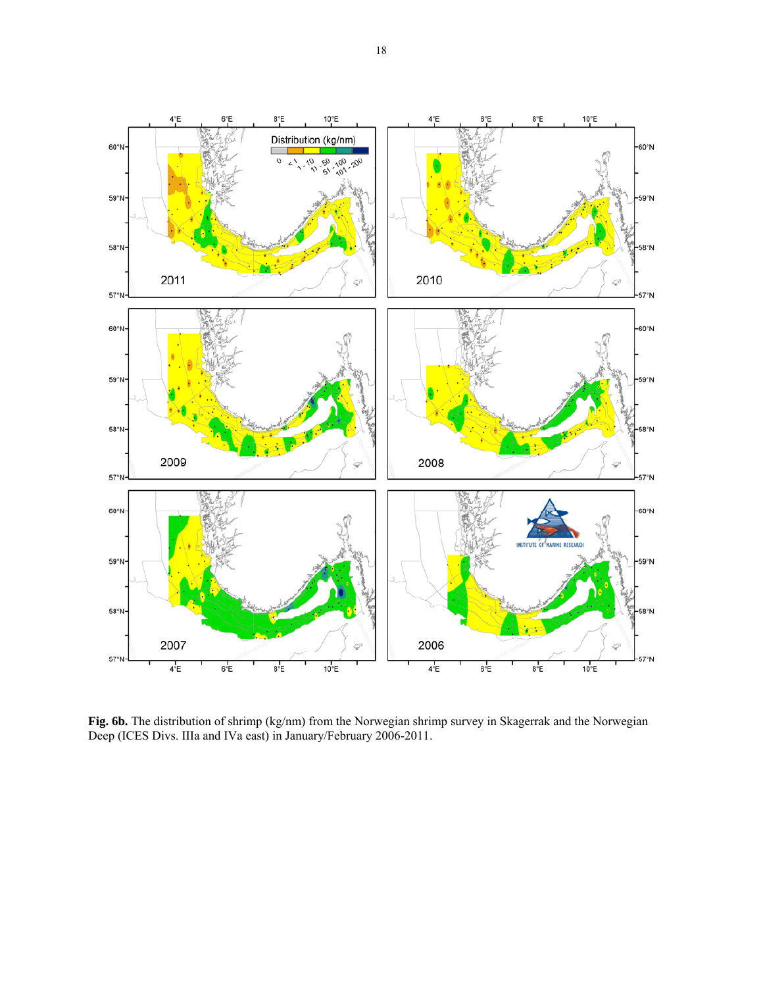

Fig. 6b. The distribution of shrimp (kg/nm) from the Norwegian shrimp survey in Skagerrak and the Norwegian Deep (ICES Divs. IIIa and IVa east) in January/February 2006-2011.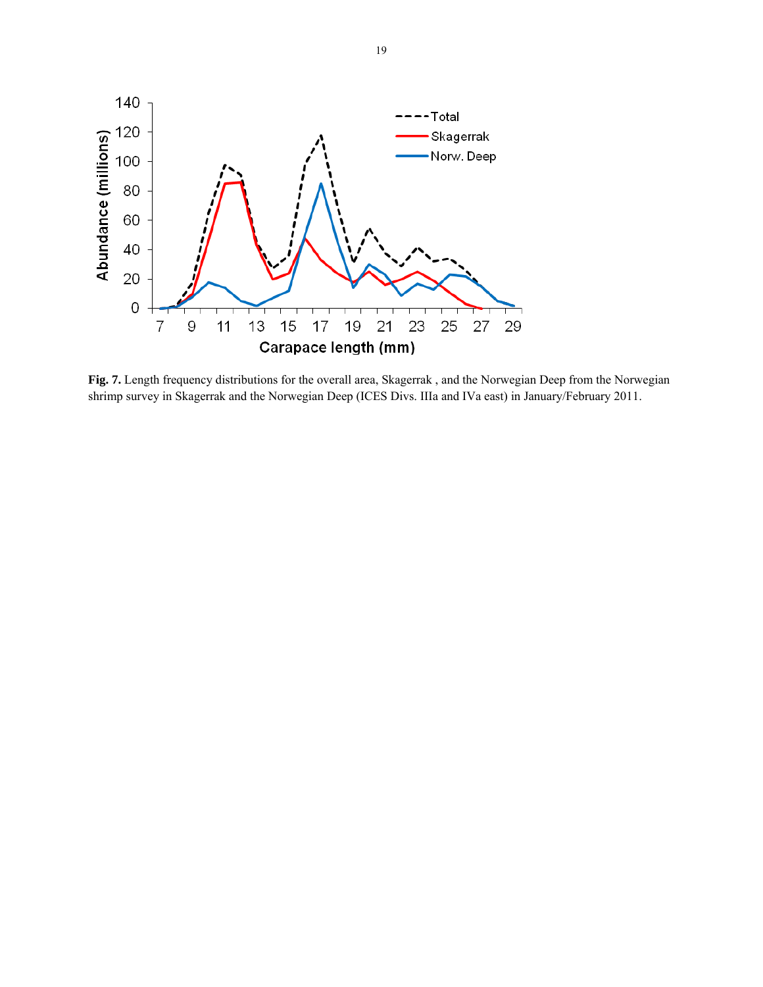

**Fig. 7.** Length frequency distributions for the overall area, Skagerrak , and the Norwegian Deep from the Norwegian shrimp survey in Skagerrak and the Norwegian Deep (ICES Divs. IIIa and IVa east) in January/February 2011.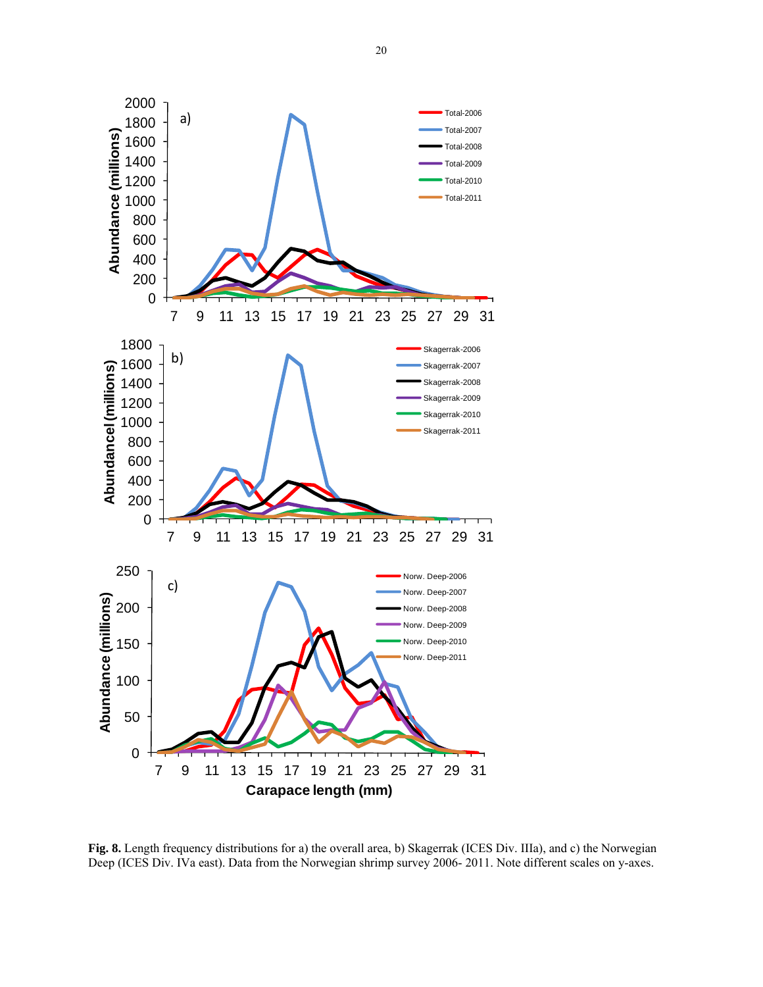

**Fig. 8.** Length frequency distributions for a) the overall area, b) Skagerrak (ICES Div. IIIa), and c) the Norwegian Deep (ICES Div. IVa east). Data from the Norwegian shrimp survey 2006- 2011. Note different scales on y-axes.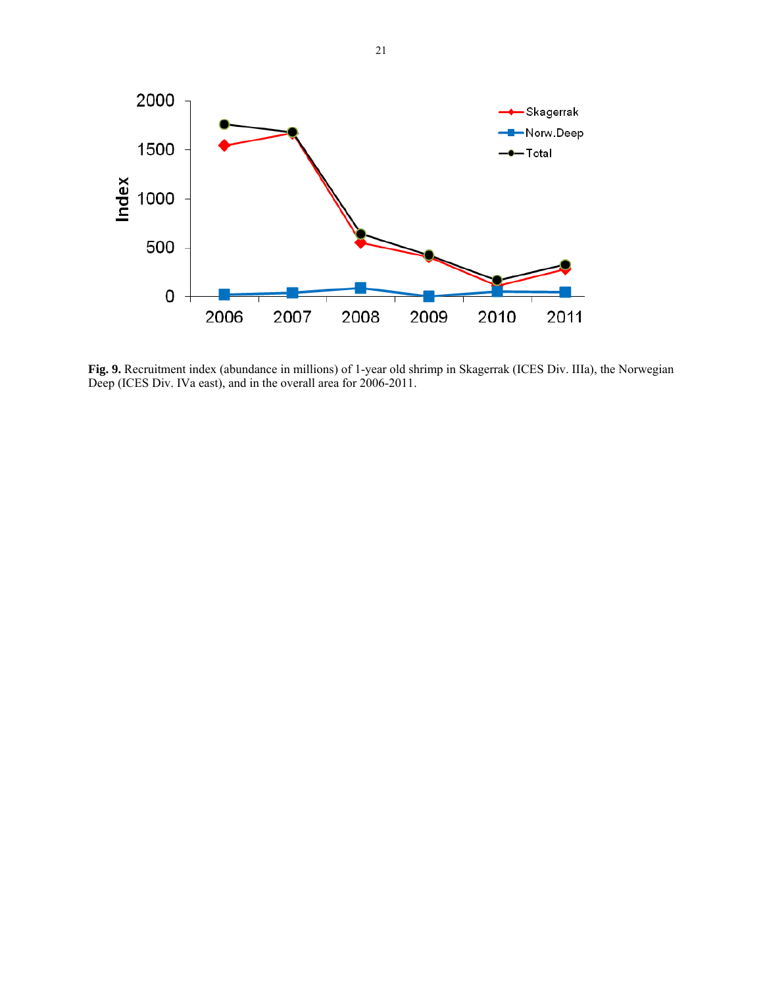

**Fig. 9.** Recruitment index (abundance in millions) of 1-year old shrimp in Skagerrak (ICES Div. IIIa), the Norwegian Deep (ICES Div. IVa east), and in the overall area for 2006-2011.